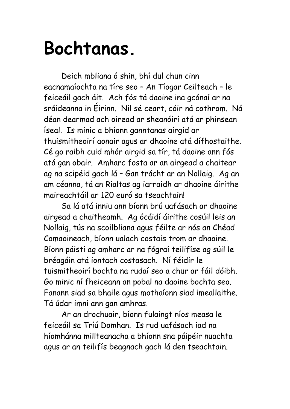## **Bochtanas.**

Deich mbliana ó shin, bhí dul chun cinn eacnamaíochta na tíre seo – An Tíogar Ceilteach – le feiceáil gach áit. Ach fós tá daoine ina gcónaí ar na sráideanna in Éirinn. Níl sé ceart, cóir ná cothrom. Ná déan dearmad ach oiread ar sheanóirí atá ar phinsean íseal. Is minic a bhíonn ganntanas airgid ar thuismitheoirí aonair agus ar dhaoine atá dífhostaithe. Cé go raibh cuid mhór airgid sa tír, tá daoine ann fós atá gan obair. Amharc fosta ar an airgead a chaitear ag na scipéid gach lá – Gan trácht ar an Nollaig. Ag an am céanna, tá an Rialtas ag iarraidh ar dhaoine áirithe maireachtáil ar 120 euró sa tseachtain!

Sa lá atá inniu ann bíonn brú uafásach ar dhaoine airgead a chaitheamh. Ag ócáidí áirithe cosúil leis an Nollaig, tús na scoilbliana agus féilte ar nós an Chéad Comaoineach, bíonn ualach costais trom ar dhaoine. Bíonn páistí ag amharc ar na fógraí teilifíse ag súil le bréagáin atá iontach costasach. Ní féidir le tuismitheoirí bochta na rudaí seo a chur ar fáil dóibh. Go minic ní fheiceann an pobal na daoine bochta seo. Fanann siad sa bhaile agus mothaíonn siad imeallaithe. Tá údar imní ann gan amhras.

Ar an drochuair, bíonn fulaingt níos measa le feiceáil sa Tríú Domhan. Is rud uafásach iad na híomhánna millteanacha a bhíonn sna páipéir nuachta agus ar an teilifís beagnach gach lá den tseachtain.